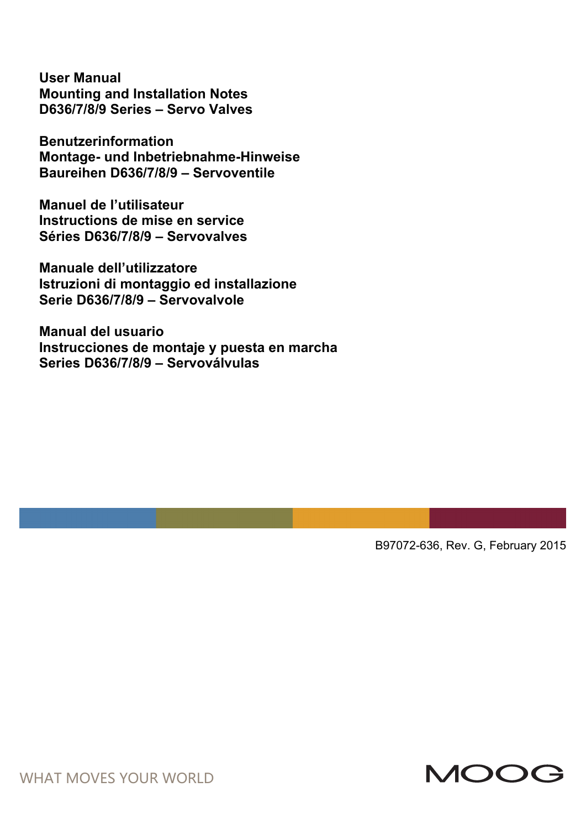**User Manual Mounting and Installation Notes D636/7/8/9 Series – Servo Valves** 

**Benutzerinformation Montage- und Inbetriebnahme-Hinweise Baureihen D636/7/8/9 – Servoventile** 

**Manuel de l'utilisateur Instructions de mise en service Séries D636/7/8/9 – Servovalves** 

**Manuale dell'utilizzatore Istruzioni di montaggio ed installazione Serie D636/7/8/9 – Servovalvole** 

**Manual del usuario Instrucciones de montaje y puesta en marcha Series D636/7/8/9 – Servoválvulas** 

B97072-636, Rev. G, February 2015



WHAT MOVES YOUR WORLD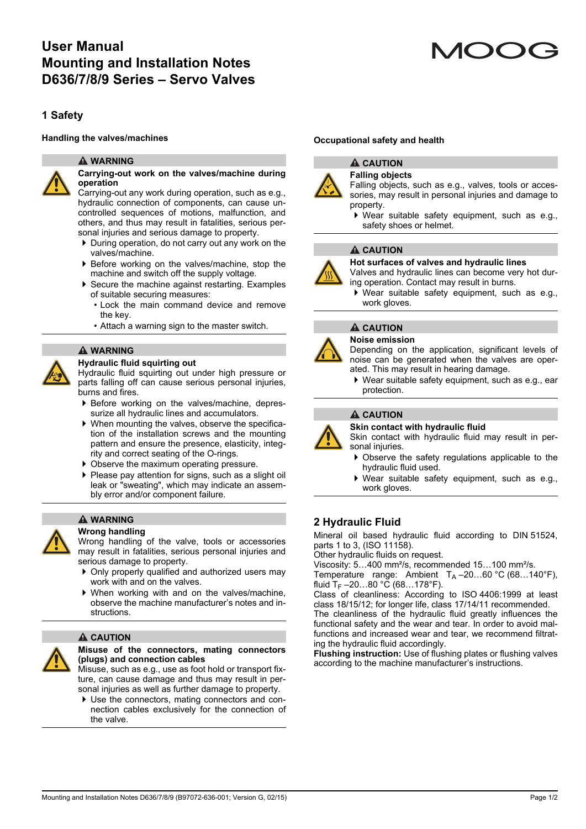# **User Manual Mounting and Installation Notes D636/7/8/9 Series – Servo Valves**

# **1 Safety**

#### **WARNING**



#### **Carrying-out work on the valves/machine during operation**

Carrying-out any work during operation, such as e.g., hydraulic connection of components, can cause uncontrolled sequences of motions, malfunction, and others, and thus may result in fatalities, serious personal injuries and serious damage to property.

- During operation, do not carry out any work on the valves/machine.
- Before working on the valves/machine, stop the machine and switch off the supply voltage.
- ▶ Secure the machine against restarting. Examples of suitable securing measures:
	- Lock the main command device and remove the key.
	- Attach a warning sign to the master switch.

#### **WARNING**

#### **Hydraulic fluid squirting out**

Hydraulic fluid squirting out under high pressure or parts falling off can cause serious personal injuries, burns and fires.

- ▶ Before working on the valves/machine, depressurize all hydraulic lines and accumulators.
- When mounting the valves, observe the specification of the installation screws and the mounting pattern and ensure the presence, elasticity, integrity and correct seating of the O-rings.
- ▶ Observe the maximum operating pressure.
- Please pay attention for signs, such as a slight oil leak or "sweating", which may indicate an assembly error and/or component failure.

# **WARNING**

#### **Wrong handling**

Wrong handling of the valve, tools or accessories may result in fatalities, serious personal injuries and serious damage to property.

- ▶ Only properly qualified and authorized users may work with and on the valves.
- When working with and on the valves/machine, observe the machine manufacturer's notes and instructions.

### **A** CAUTION



Misuse, such as e.g., use as foot hold or transport fixture, can cause damage and thus may result in personal injuries as well as further damage to property.

 Use the connectors, mating connectors and connection cables exclusively for the connection of the valve.

# **Handling the valves/machines Occupational safety and health**



#### **A** CAUTION **Falling objects**

Falling objects, such as e.g., valves, tools or accessories, may result in personal injuries and damage to property.

 Wear suitable safety equipment, such as e.g., safety shoes or helmet.

#### **A** CAUTION



**Hot surfaces of valves and hydraulic lines**

Valves and hydraulic lines can become very hot during operation. Contact may result in burns.

 Wear suitable safety equipment, such as e.g., work gloves.

# **A** CAUTION



**Noise emission**

Depending on the application, significant levels of noise can be generated when the valves are operated. This may result in hearing damage.

 Wear suitable safety equipment, such as e.g., ear protection.

### **A** CAUTION



Skin contact with hydraulic fluid may result in personal injuries.

- Observe the safety regulations applicable to the hydraulic fluid used.
- Wear suitable safety equipment, such as e.g., work gloves.

### **2 Hydraulic Fluid**

Mineral oil based hydraulic fluid according to DIN 51524, parts 1 to 3, (ISO 11158).

Other hydraulic fluids on request.

Viscosity: 5…400 mm²/s, recommended 15…100 mm²/s.

Temperature range: Ambient  $T_A = 20...60$  °C (68...140°F), fluid  $T_F - 20...80 °C$  (68...178°F).

Class of cleanliness: According to ISO 4406:1999 at least class 18/15/12; for longer life, class 17/14/11 recommended. The cleanliness of the hydraulic fluid greatly influences the

functional safety and the wear and tear. In order to avoid malfunctions and increased wear and tear, we recommend filtrating the hydraulic fluid accordingly.

**Flushing instruction:** Use of flushing plates or flushing valves according to the machine manufacturer's instructions.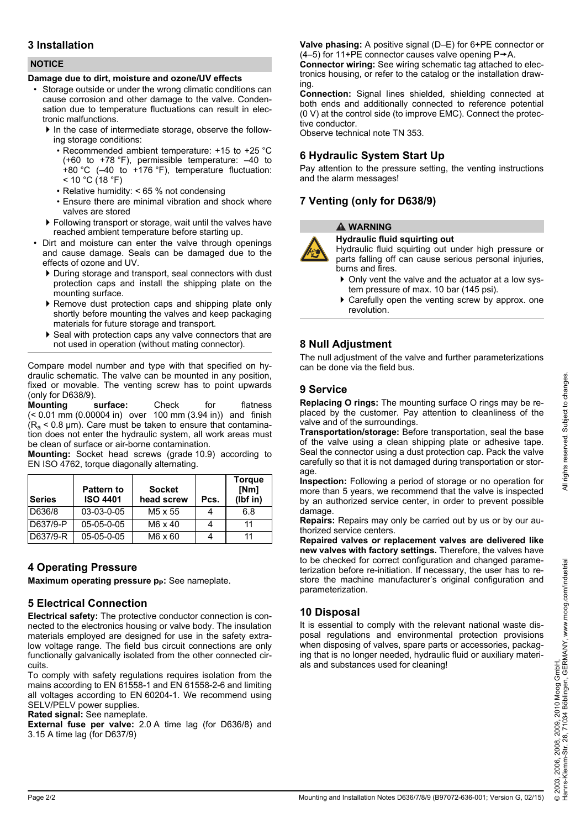# **3 Installation**

#### **NOTICE**

#### **Damage due to dirt, moisture and ozone/UV effects**

- Storage outside or under the wrong climatic conditions can cause corrosion and other damage to the valve. Condensation due to temperature fluctuations can result in electronic malfunctions.
	- In the case of intermediate storage, observe the following storage conditions:
		- Recommended ambient temperature: +15 to +25 °C (+60 to +78 °F), permissible temperature: –40 to +80 °C (–40 to +176 °F), temperature fluctuation:  $<$  10 °C (18 °F)
		- Relative humidity: < 65 % not condensing
		- Ensure there are minimal vibration and shock where valves are stored
	- Following transport or storage, wait until the valves have reached ambient temperature before starting up.
- Dirt and moisture can enter the valve through openings and cause damage. Seals can be damaged due to the effects of ozone and UV.
	- During storage and transport, seal connectors with dust protection caps and install the shipping plate on the mounting surface.
	- $\triangleright$  Remove dust protection caps and shipping plate only shortly before mounting the valves and keep packaging materials for future storage and transport.
	- ▶ Seal with protection caps any valve connectors that are not used in operation (without mating connector).

Compare model number and type with that specified on hydraulic schematic. The valve can be mounted in any position, fixed or movable. The venting screw has to point upwards (only for D638/9).

**Mounting surface:** Check for flatness (< 0.01 mm (0.00004 in) over 100 mm (3.94 in)) and finish  $(R_a < 0.8 \mu m)$ . Care must be taken to ensure that contamination does not enter the hydraulic system, all work areas must be clean of surface or air-borne contamination.

**Mounting:** Socket head screws (grade 10.9) according to EN ISO 4762, torque diagonally alternating.

| <b>Series</b> | <b>Pattern to</b><br><b>ISO 4401</b> | <b>Socket</b><br>head screw | Pcs. | <b>Torque</b><br>[Nm]<br>(lbf in) |
|---------------|--------------------------------------|-----------------------------|------|-----------------------------------|
| D636/8        | $03-03-0-05$                         | M <sub>5</sub> x 55         |      | 6.8                               |
| D637/9-P      | $05-05-0-05$                         | $M6 \times 40$              |      | 11                                |
| D637/9-R      | $05-05-0-05$                         | M6 x 60                     |      | 11                                |

# **4 Operating Pressure**

**Maximum operating pressure p<sub>p</sub>:** See nameplate.

# **5 Electrical Connection**

**Electrical safety:** The protective conductor connection is connected to the electronics housing or valve body. The insulation materials employed are designed for use in the safety extralow voltage range. The field bus circuit connections are only functionally galvanically isolated from the other connected circuits.

To comply with safety regulations requires isolation from the mains according to EN 61558-1 and EN 61558-2-6 and limiting all voltages according to EN 60204-1. We recommend using SELV/PELV power supplies.

**Rated signal:** See nameplate.

**External fuse per valve:** 2.0 A time lag (for D636/8) and 3.15 A time lag (for D637/9)

**Valve phasing:** A positive signal (D–E) for 6+PE connector or (4–5) for 11+PE connector causes valve opening  $P \rightarrow A$ .

**Connector wiring:** See wiring schematic tag attached to electronics housing, or refer to the catalog or the installation drawing.

**Connection:** Signal lines shielded, shielding connected at both ends and additionally connected to reference potential (0 V) at the control side (to improve EMC). Connect the protective conductor.

Observe technical note TN 353.

# **6 Hydraulic System Start Up**

Pay attention to the pressure setting, the venting instructions and the alarm messages!

# **7 Venting (only for D638/9)**

# **WARNING**

#### **Hydraulic fluid squirting out**

Hydraulic fluid squirting out under high pressure or parts falling off can cause serious personal injuries, burns and fires.

- Only vent the valve and the actuator at a low system pressure of max. 10 bar (145 psi).
- ▶ Carefully open the venting screw by approx. one revolution.

# **8 Null Adjustment**

The null adjustment of the valve and further parameterizations can be done via the field bus.

# **9 Service**

**Replacing O rings:** The mounting surface O rings may be replaced by the customer. Pay attention to cleanliness of the valve and of the surroundings.

**Transportation/storage:** Before transportation, seal the base of the valve using a clean shipping plate or adhesive tape. Seal the connector using a dust protection cap. Pack the valve carefully so that it is not damaged during transportation or storage.

**Inspection:** Following a period of storage or no operation for more than 5 years, we recommend that the valve is inspected by an authorized service center, in order to prevent possible damage.

**Repairs:** Repairs may only be carried out by us or by our authorized service centers.

**Repaired valves or replacement valves are delivered like new valves with factory settings.** Therefore, the valves have to be checked for correct configuration and changed parameterization before re-initiation. If necessary, the user has to restore the machine manufacturer's original configuration and parameterization.

# **10 Disposal**

It is essential to comply with the relevant national waste disposal regulations and environmental protection provisions when disposing of valves, spare parts or accessories, packaging that is no longer needed, hydraulic fluid or auxiliary materials and substances used for cleaning!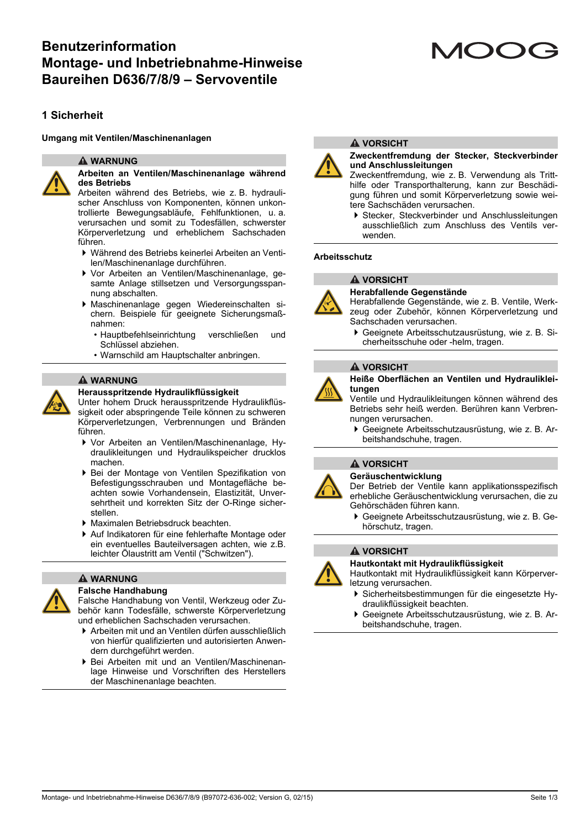# **Benutzerinformation Montage- und Inbetriebnahme-Hinweise Baureihen D636/7/8/9 – Servoventile**

# **1 Sicherheit**

#### **Umgang mit Ventilen/Maschinenanlagen**

#### **WARNUNG**



#### **Arbeiten an Ventilen/Maschinenanlage während des Betriebs**

Arbeiten während des Betriebs, wie z. B. hydraulischer Anschluss von Komponenten, können unkontrollierte Bewegungsabläufe, Fehlfunktionen, u. a. verursachen und somit zu Todesfällen, schwerster Körperverletzung und erheblichem Sachschaden führen.

- Während des Betriebs keinerlei Arbeiten an Ventilen/Maschinenanlage durchführen.
- Vor Arbeiten an Ventilen/Maschinenanlage, gesamte Anlage stillsetzen und Versorgungsspannung abschalten.
- Maschinenanlage gegen Wiedereinschalten sichern. Beispiele für geeignete Sicherungsmaßnahmen:
	- Hauptbefehlseinrichtung verschließen und Schlüssel abziehen.
	- Warnschild am Hauptschalter anbringen.

#### **WARNUNG**

#### **Herausspritzende Hydraulikflüssigkeit**

Unter hohem Druck herausspritzende Hydraulikflüssigkeit oder abspringende Teile können zu schweren Körperverletzungen, Verbrennungen und Bränden führen.

- Vor Arbeiten an Ventilen/Maschinenanlage, Hydraulikleitungen und Hydraulikspeicher drucklos machen.
- Bei der Montage von Ventilen Spezifikation von Befestigungsschrauben und Montagefläche beachten sowie Vorhandensein, Elastizität, Unversehrtheit und korrekten Sitz der O-Ringe sicherstellen.
- Maximalen Betriebsdruck beachten.
- Auf Indikatoren für eine fehlerhafte Montage oder ein eventuelles Bauteilversagen achten, wie z.B. leichter Ölaustritt am Ventil ("Schwitzen").

#### **WARNUNG**

#### **Falsche Handhabung**

Falsche Handhabung von Ventil, Werkzeug oder Zubehör kann Todesfälle, schwerste Körperverletzung und erheblichen Sachschaden verursachen.

- Arbeiten mit und an Ventilen dürfen ausschließlich von hierfür qualifizierten und autorisierten Anwendern durchgeführt werden.
- Bei Arbeiten mit und an Ventilen/Maschinenanlage Hinweise und Vorschriften des Herstellers der Maschinenanlage beachten.



#### **A** VORSICHT

#### **Zweckentfremdung der Stecker, Steckverbinder und Anschlussleitungen**

Zweckentfremdung, wie z. B. Verwendung als Tritthilfe oder Transporthalterung, kann zur Beschädigung führen und somit Körperverletzung sowie weitere Sachschäden verursachen.

 Stecker, Steckverbinder und Anschlussleitungen ausschließlich zum Anschluss des Ventils verwenden.

#### **Arbeitsschutz**

# **A VORSICHT**



#### **Herabfallende Gegenstände**

Herabfallende Gegenstände, wie z. B. Ventile, Werkzeug oder Zubehör, können Körperverletzung und Sachschaden verursachen.

 Geeignete Arbeitsschutzausrüstung, wie z. B. Sicherheitsschuhe oder -helm, tragen.

#### **A VORSICHT**



**Heiße Oberflächen an Ventilen und Hydraulikleitungen**

Ventile und Hydraulikleitungen können während des Betriebs sehr heiß werden. Berühren kann Verbrennungen verursachen.

 Geeignete Arbeitsschutzausrüstung, wie z. B. Arbeitshandschuhe, tragen.

#### **A** VORSICHT

**Geräuschentwicklung**

Der Betrieb der Ventile kann applikationsspezifisch erhebliche Geräuschentwicklung verursachen, die zu Gehörschäden führen kann.

 Geeignete Arbeitsschutzausrüstung, wie z. B. Gehörschutz, tragen.

#### **A VORSICHT**



**Hautkontakt mit Hydraulikflüssigkeit**

Hautkontakt mit Hydraulikflüssigkeit kann Körperverletzung verursachen.

- Sicherheitsbestimmungen für die eingesetzte Hydraulikflüssigkeit beachten.
- Geeignete Arbeitsschutzausrüstung, wie z. B. Arbeitshandschuhe, tragen.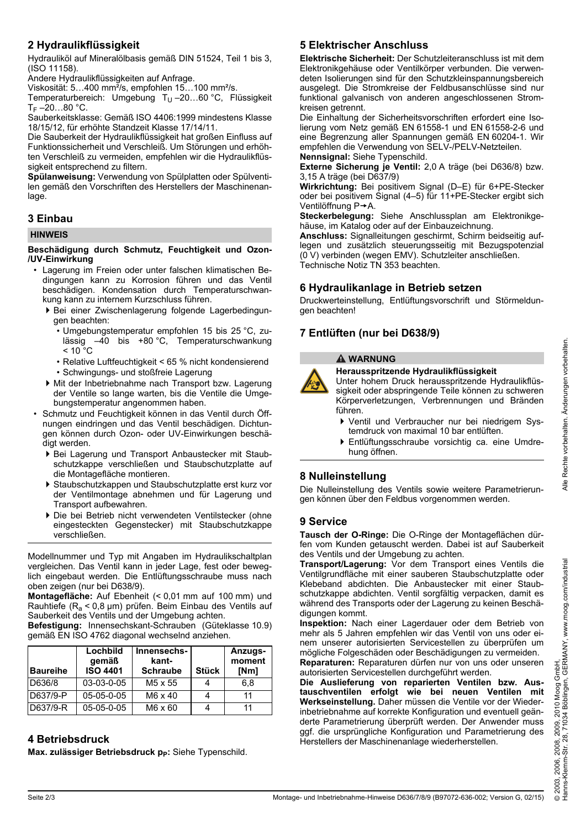# **2 Hydraulikflüssigkeit**

Hydrauliköl auf Mineralölbasis gemäß DIN 51524, Teil 1 bis 3, (ISO 11158).

Andere Hydraulikflüssigkeiten auf Anfrage.

Viskosität: 5…400 mm²/s, empfohlen 15…100 mm²/s.

Temperaturbereich: Umgebung T<sub>U</sub> $-20...60$  °C, Flüssigkeit  $T_F - 20...80 °C$ .

Sauberkeitsklasse: Gemäß ISO 4406:1999 mindestens Klasse 18/15/12, für erhöhte Standzeit Klasse 17/14/11.

Die Sauberkeit der Hydraulikflüssigkeit hat großen Einfluss auf Funktionssicherheit und Verschleiß. Um Störungen und erhöhten Verschleiß zu vermeiden, empfehlen wir die Hydraulikflüssigkeit entsprechend zu filtern.

**Spülanweisung:** Verwendung von Spülplatten oder Spülventilen gemäß den Vorschriften des Herstellers der Maschinenanlage.

# **3 Einbau**

#### **HINWEIS**

#### **Beschädigung durch Schmutz, Feuchtigkeit und Ozon- /UV-Einwirkung**

- Lagerung im Freien oder unter falschen klimatischen Bedingungen kann zu Korrosion führen und das Ventil beschädigen. Kondensation durch Temperaturschwankung kann zu internem Kurzschluss führen.
	- Bei einer Zwischenlagerung folgende Lagerbedingungen beachten:
		- Umgebungstemperatur empfohlen 15 bis 25 °C, zulässig –40 bis +80 °C, Temperaturschwankung  $< 10^{\circ}$ C
		- Relative Luftfeuchtigkeit < 65 % nicht kondensierend
		- Schwingungs- und stoßfreie Lagerung
	- Mit der Inbetriebnahme nach Transport bzw. Lagerung der Ventile so lange warten, bis die Ventile die Umgebungstemperatur angenommen haben.
- Schmutz und Feuchtigkeit können in das Ventil durch Öffnungen eindringen und das Ventil beschädigen. Dichtungen können durch Ozon- oder UV-Einwirkungen beschädigt werden.
	- Bei Lagerung und Transport Anbaustecker mit Staubschutzkappe verschließen und Staubschutzplatte auf die Montagefläche montieren.
	- Staubschutzkappen und Staubschutzplatte erst kurz vor der Ventilmontage abnehmen und für Lagerung und Transport aufbewahren.
	- Die bei Betrieb nicht verwendeten Ventilstecker (ohne eingesteckten Gegenstecker) mit Staubschutzkappe verschließen.

Modellnummer und Typ mit Angaben im Hydraulikschaltplan vergleichen. Das Ventil kann in jeder Lage, fest oder beweglich eingebaut werden. Die Entlüftungsschraube muss nach oben zeigen (nur bei D638/9).

**Montagefläche:** Auf Ebenheit (< 0,01 mm auf 100 mm) und Rauhtiefe (R<sub>a</sub> < 0,8 µm) prüfen. Beim Einbau des Ventils auf Sauberkeit des Ventils und der Umgebung achten.

**Befestigung:** Innensechskant-Schrauben (Güteklasse 10.9) gemäß EN ISO 4762 diagonal wechselnd anziehen.

| <b>IBaureihe</b> | Lochbild<br>gemäß<br><b>ISO 4401</b> | Innensechs-<br>kant-<br><b>Schraube</b> | <b>Stück</b> | Anzugs-<br>moment<br>[Nm] |
|------------------|--------------------------------------|-----------------------------------------|--------------|---------------------------|
| D636/8           | 03-03-0-05                           | M <sub>5</sub> x 55                     |              | 6.8                       |
| D637/9-P         | $05-05-0-05$                         | M6 x 40                                 |              | 11                        |
| D637/9-R         | $05-05-0-05$                         | M6 x 60                                 |              |                           |

# **4 Betriebsdruck**

Max. zulässiger Betriebsdruck p<sub>p</sub>: Siehe Typenschild.

# **5 Elektrischer Anschluss**

**Elektrische Sicherheit:** Der Schutzleiteranschluss ist mit dem Elektronikgehäuse oder Ventilkörper verbunden. Die verwendeten Isolierungen sind für den Schutzkleinspannungsbereich ausgelegt. Die Stromkreise der Feldbusanschlüsse sind nur funktional galvanisch von anderen angeschlossenen Stromkreisen getrennt.

Die Einhaltung der Sicherheitsvorschriften erfordert eine Isolierung vom Netz gemäß EN 61558-1 und EN 61558-2-6 und eine Begrenzung aller Spannungen gemäß EN 60204-1. Wir empfehlen die Verwendung von SELV-/PELV-Netzteilen. **Nennsignal:** Siehe Typenschild.

**Externe Sicherung je Ventil:** 2,0 A träge (bei D636/8) bzw. 3,15 A träge (bei D637/9)

**Wirkrichtung:** Bei positivem Signal (D–E) für 6+PE-Stecker oder bei positivem Signal (4–5) für 11+PE-Stecker ergibt sich Ventilöffnung P→A.

**Steckerbelegung:** Siehe Anschlussplan am Elektronikgehäuse, im Katalog oder auf der Einbauzeichnung.

**Anschluss:** Signalleitungen geschirmt, Schirm beidseitig auflegen und zusätzlich steuerungsseitig mit Bezugspotenzial (0 V) verbinden (wegen EMV). Schutzleiter anschließen. Technische Notiz TN 353 beachten.

# **6 Hydraulikanlage in Betrieb setzen**

Druckwerteinstellung, Entlüftungsvorschrift und Störmeldungen beachten!

# **7 Entlüften (nur bei D638/9)**

#### **WARNUNG**

#### **Herausspritzende Hydraulikflüssigkeit**

Unter hohem Druck herausspritzende Hydraulikflüssigkeit oder abspringende Teile können zu schweren Körperverletzungen, Verbrennungen und Bränden führen.

- Ventil und Verbraucher nur bei niedrigem Systemdruck von maximal 10 bar entlüften.
- Entlüftungsschraube vorsichtig ca. eine Umdrehung öffnen.

# **8 Nulleinstellung**

Die Nulleinstellung des Ventils sowie weitere Parametrierungen können über den Feldbus vorgenommen werden.

### **9 Service**

**Tausch der O-Ringe:** Die O-Ringe der Montageflächen dürfen vom Kunden getauscht werden. Dabei ist auf Sauberkeit des Ventils und der Umgebung zu achten.

**Transport/Lagerung:** Vor dem Transport eines Ventils die Ventilgrundfläche mit einer sauberen Staubschutzplatte oder Klebeband abdichten. Die Anbaustecker mit einer Staubschutzkappe abdichten. Ventil sorgfältig verpacken, damit es während des Transports oder der Lagerung zu keinen Beschädigungen kommt.

**Inspektion:** Nach einer Lagerdauer oder dem Betrieb von mehr als 5 Jahren empfehlen wir das Ventil von uns oder einem unserer autorisierten Servicestellen zu überprüfen um mögliche Folgeschäden oder Beschädigungen zu vermeiden. **Reparaturen:** Reparaturen dürfen nur von uns oder unseren

autorisierten Servicestellen durchgeführt werden.

**Die Auslieferung von reparierten Ventilen bzw. Austauschventilen erfolgt wie bei neuen Ventilen mit Werkseinstellung.** Daher müssen die Ventile vor der Wiederinbetriebnahme auf korrekte Konfiguration und eventuell geänderte Parametrierung überprüft werden. Der Anwender muss ggf. die ursprüngliche Konfiguration und Parametrierung des Herstellers der Maschinenanlage wiederherstellen.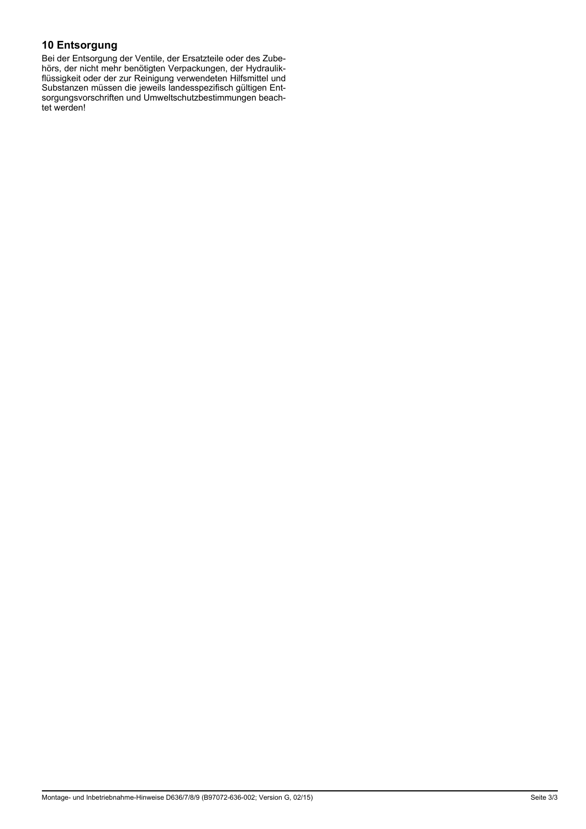# **10 Entsorgung**

Bei der Entsorgung der Ventile, der Ersatzteile oder des Zubehörs, der nicht mehr benötigten Verpackungen, der Hydraulikflüssigkeit oder der zur Reinigung verwendeten Hilfsmittel und Substanzen müssen die jeweils landesspezifisch gültigen Entsorgungsvorschriften und Umweltschutzbestimmungen beachtet werden!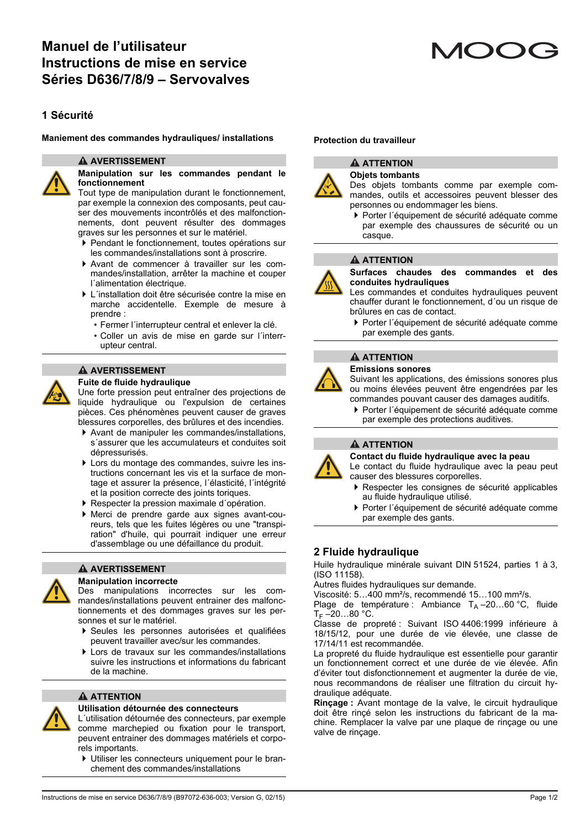# **1 Sécurité**

#### **Maniement des commandes hydrauliques/ installations Protection du travailleur**

#### **A AVERTISSEMENT**



**Manipulation sur les commandes pendant le fonctionnement**

Tout type de manipulation durant le fonctionnement, par exemple la connexion des composants, peut causer des mouvements incontrôlés et des malfonctionnements, dont peuvent résulter des dommages graves sur les personnes et sur le matériel.

- Pendant le fonctionnement, toutes opérations sur les commandes/installations sont à proscrire.
- Avant de commencer à travailler sur les commandes/installation, arrêter la machine et couper l´alimentation électrique.
- L´installation doit être sécurisée contre la mise en marche accidentelle. Exemple de mesure à prendre :
	- Fermer l´interrupteur central et enlever la clé.
	- Coller un avis de mise en garde sur l´interrupteur central.

#### **A AVERTISSEMENT**

#### **Fuite de fluide hydraulique**

Une forte pression peut entraîner des projections de liquide hydraulique ou l'expulsion de certaines pièces. Ces phénomènes peuvent causer de graves blessures corporelles, des brûlures et des incendies.

- Avant de manipuler les commandes/installations, s´assurer que les accumulateurs et conduites soit dépressurisés.
- Lors du montage des commandes, suivre les instructions concernant les vis et la surface de montage et assurer la présence, l´élasticité, l´intégrité et la position correcte des joints toriques.
- Respecter la pression maximale d´opération.
- Merci de prendre garde aux signes avant-coureurs, tels que les fuites légères ou une "transpiration" d'huile, qui pourrait indiquer une erreur d'assemblage ou une défaillance du produit.



#### **A AVERTISSEMENT**

#### **Manipulation incorrecte**

Des manipulations incorrectes sur les commandes/installations peuvent entrainer des malfonctionnements et des dommages graves sur les personnes et sur le matériel.

- Seules les personnes autorisées et qualifiées peuvent travailler avec/sur les commandes.
- Lors de travaux sur les commandes/installations suivre les instructions et informations du fabricant de la machine.

#### **A** ATTENTION



L´utilisation détournée des connecteurs, par exemple comme marchepied ou fixation pour le transport, peuvent entrainer des dommages matériels et corporels importants.

 Utiliser les connecteurs uniquement pour le branchement des commandes/installations



#### **A ATTENTION Objets tombants**

Des objets tombants comme par exemple commandes, outils et accessoires peuvent blesser des personnes ou endommager les biens.

 Porter l´équipement de sécurité adéquate comme par exemple des chaussures de sécurité ou un casque.

#### **ATTENTION**



**Surfaces chaudes des commandes et des conduites hydrauliques**

Les commandes et conduites hydrauliques peuvent chauffer durant le fonctionnement, d´ou un risque de brûlures en cas de contact.

 Porter l´équipement de sécurité adéquate comme par exemple des gants.

#### **A** ATTENTION

#### **Emissions sonores**

Suivant les applications, des émissions sonores plus ou moins élevées peuvent être engendrées par les commandes pouvant causer des damages auditifs.

 Porter l´équipement de sécurité adéquate comme par exemple des protections auditives.

#### **ATTENTION**

**Contact du fluide hydraulique avec la peau**

Le contact du fluide hydraulique avec la peau peut causer des blessures corporelles.

- Respecter les consignes de sécurité applicables au fluide hydraulique utilisé.
- Porter l´équipement de sécurité adéquate comme par exemple des gants.

### **2 Fluide hydraulique**

Huile hydraulique minérale suivant DIN 51524, parties 1 à 3,  $(ISO 11158).$ 

Autres fluides hydrauliques sur demande.

Viscosité: 5…400 mm²/s, recommendé 15…100 mm²/s.

Plage de température : Ambiance  $T_A = 20...60$  °C, fluide  $T_F - 20...80 °C$ .

Classe de propreté : Suivant ISO 4406:1999 inférieure à 18/15/12, pour une durée de vie élevée, une classe de 17/14/11 est recommandée.

La propreté du fluide hydraulique est essentielle pour garantir un fonctionnement correct et une durée de vie élevée. Afin d'éviter tout disfonctionnement et augmenter la durée de vie, nous recommandons de réaliser une filtration du circuit hydraulique adéquate.

**Rinçage :** Avant montage de la valve, le circuit hydraulique doit être rinçé selon les instructions du fabricant de la machine. Remplacer la valve par une plaque de rinçage ou une valve de rinçage.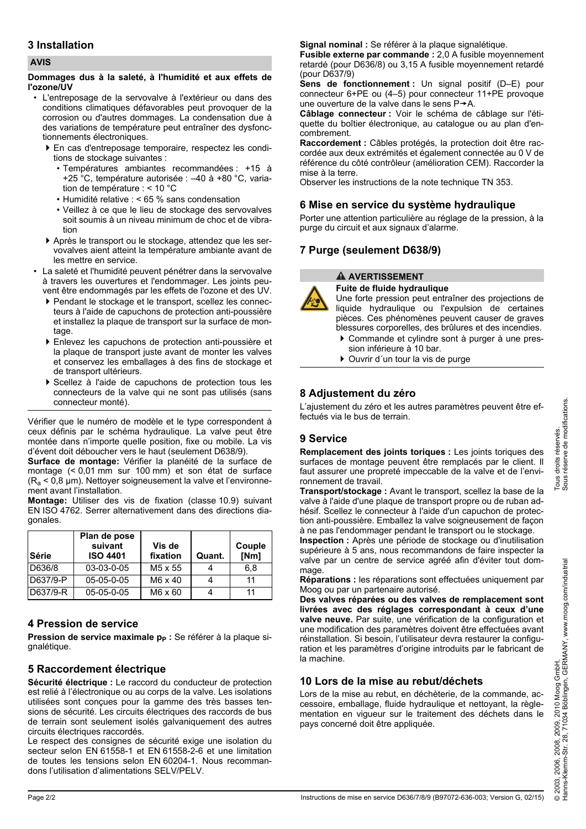# **3 Installation**

#### **AVIS**

#### **Dommages dus à la saleté, à l'humidité et aux effets de l'ozone/UV**

- L'entreposage de la servovalve à l'extérieur ou dans des conditions climatiques défavorables peut provoquer de la corrosion ou d'autres dommages. La condensation due à des variations de température peut entraîner des dysfonctionnements électroniques.
	- En cas d'entreposage temporaire, respectez les conditions de stockage suivantes :
		- Températures ambiantes recommandées : +15 à +25 °C, température autorisée : –40 à +80 °C, variation de température : < 10 °C
		- Humidité relative : < 65 % sans condensation
		- Veillez à ce que le lieu de stockage des servovalves soit soumis à un niveau minimum de choc et de vibration
	- Après le transport ou le stockage, attendez que les servovalves aient atteint la température ambiante avant de les mettre en service.
- La saleté et l'humidité peuvent pénétrer dans la servovalve à travers les ouvertures et l'endommager. Les joints peuvent être endommagés par les effets de l'ozone et des UV.
	- Pendant le stockage et le transport, scellez les connecteurs à l'aide de capuchons de protection anti-poussière et installez la plaque de transport sur la surface de montage.
	- Enlevez les capuchons de protection anti-poussière et la plaque de transport juste avant de monter les valves et conservez les emballages à des fins de stockage et de transport ultérieurs.
	- Scellez à l'aide de capuchons de protection tous les connecteurs de la valve qui ne sont pas utilisés (sans connecteur monté).

Vérifier que le numéro de modèle et le type correspondent à ceux définis par le schéma hydraulique. La valve peut être montée dans n'importe quelle position, fixe ou mobile. La vis d'évent doit déboucher vers le haut (seulement D638/9).

**Surface de montage:** Vérifier la planéité de la surface de montage (< 0,01 mm sur 100 mm) et son état de surface  $(R_a < 0.8 \mu m)$ . Nettoyer soigneusement la valve et l'environnement avant l'installation.

**Montage:** Utiliser des vis de fixation (classe 10.9) suivant EN ISO 4762. Serrer alternativement dans des directions diagonales.

| <b>Série</b> | Plan de pose<br>suivant<br><b>ISO 4401</b> | Vis de<br>fixation | Quant. | Couple<br>[Nm] |
|--------------|--------------------------------------------|--------------------|--------|----------------|
| D636/8       | 03-03-0-05                                 | M5 x 55            |        | 6.8            |
| D637/9-P     | 05-05-0-05                                 | $M6 \times 40$     |        | 11             |
| D637/9-R     | $05-05-0-05$                               | $M6 \times 60$     |        | 11             |

# **4 Pression de service**

**Pression de service maximale p<sub>p</sub>** : Se référer à la plaque signalétique.

# **5 Raccordement électrique**

**Sécurité électrique :** Le raccord du conducteur de protection est relié à l'électronique ou au corps de la valve. Les isolations utilisées sont conçues pour la gamme des très basses tensions de sécurité. Les circuits électriques des raccords de bus de terrain sont seulement isolés galvaniquement des autres circuits électriques raccordés.

Le respect des consignes de sécurité exige une isolation du secteur selon EN 61558-1 et EN 61558-2-6 et une limitation de toutes les tensions selon EN 60204-1. Nous recommandons l'utilisation d'alimentations SELV/PELV.

**Signal nominal :** Se référer à la plaque signalétique.

**Fusible externe par commande :** 2,0 A fusible moyennement retardé (pour D636/8) ou 3,15 A fusible moyennement retardé (pour D637/9)

**Sens de fonctionnement :** Un signal positif (D–E) pour connecteur 6+PE ou (4–5) pour connecteur 11+PE provoque une ouverture de la valve dans le sens  $P \rightarrow A$ .

**Câblage connecteur :** Voir le schéma de câblage sur l'étiquette du boîtier électronique, au catalogue ou au plan d'encombrement.

**Raccordement :** Câbles protégés, la protection doit être raccordée aux deux extrémités et également connectée au 0 V de référence du côté contrôleur (amélioration CEM). Raccorder la mise à la terre.

Observer les instructions de la note technique TN 353.

# **6 Mise en service du système hydraulique**

Porter une attention particulière au réglage de la pression, à la purge du circuit et aux signaux d'alarme.

# **7 Purge (seulement D638/9)**

### **A AVERTISSEMENT**

**Fuite de fluide hydraulique**

Une forte pression peut entraîner des projections de liquide hydraulique ou l'expulsion de certaines pièces. Ces phénomènes peuvent causer de graves blessures corporelles, des brûlures et des incendies.

- Commande et cylindre sont à purger à une pression inférieure à 10 bar.
- Ouvrir d´un tour la vis de purge

# **8 Adjustement du zéro**

L'ajustement du zéro et les autres paramètres peuvent être effectués via le bus de terrain.

# **9 Service**

**Remplacement des joints toriques :** Les joints toriques des surfaces de montage peuvent être remplacés par le client. Il faut assurer une propreté impeccable de la valve et de l'environnement de travail.

**Transport/stockage :** Avant le transport, scellez la base de la valve à l'aide d'une plaque de transport propre ou de ruban adhésif. Scellez le connecteur à l'aide d'un capuchon de protection anti-poussière. Emballez la valve soigneusement de façon à ne pas l'endommager pendant le transport ou le stockage.

**Inspection :** Après une période de stockage ou d'inutilisation supérieure à 5 ans, nous recommandons de faire inspecter la valve par un centre de service agréé afin d'éviter tout dommage

**Réparations :** les réparations sont effectuées uniquement par Moog ou par un partenaire autorisé.

**Des valves réparées ou des valves de remplacement sont livrées avec des réglages correspondant à ceux d'une valve neuve.** Par suite, une vérification de la configuration et une modification des paramètres doivent être effectuées avant réinstallation. Si besoin, l'utilisateur devra restaurer la configuration et les paramètres d'origine introduits par le fabricant de la machine.

# **10 Lors de la mise au rebut/déchets**

Lors de la mise au rebut, en déchèterie, de la commande, accessoire, emballage, fluide hydraulique et nettoyant, la règlementation en vigueur sur le traitement des déchets dans le pays concerné doit être appliquée.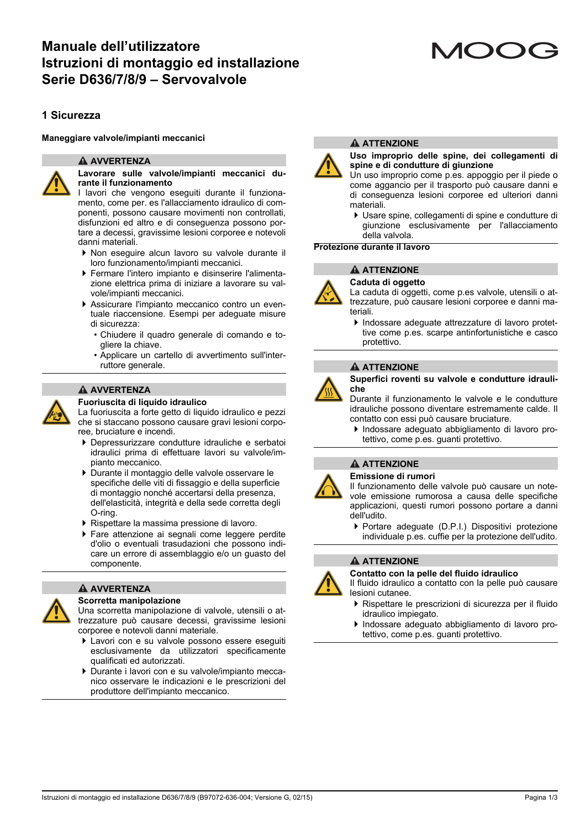# **Manuale dell'utilizzatore Istruzioni di montaggio ed installazione Serie D636/7/8/9 – Servovalvole**

# **1 Sicurezza**

**Maneggiare valvole/impianti meccanici**

#### **A** AVVERTENZA



#### **Lavorare sulle valvole/impianti meccanici durante il funzionamento**

I lavori che vengono eseguiti durante il funzionamento, come per. es l'allacciamento idraulico di componenti, possono causare movimenti non controllati, disfunzioni ed altro e di conseguenza possono portare a decessi, gravissime lesioni corporee e notevoli danni materiali.

- Non eseguire alcun lavoro su valvole durante il loro funzionamento/impianti meccanici.
- Fermare l'intero impianto e disinserire l'alimentazione elettrica prima di iniziare a lavorare su valvole/impianti meccanici.
- Assicurare l'impianto meccanico contro un eventuale riaccensione. Esempi per adeguate misure di sicurezza:
	- Chiudere il quadro generale di comando e togliere la chiave.
	- Applicare un cartello di avvertimento sull'interruttore generale.

#### **AVVERTENZA**

#### **Fuoriuscita di liquido idraulico**



La fuoriuscita a forte getto di liquido idraulico e pezzi che si staccano possono causare gravi lesioni corporee, bruciature e incendi.

- Depressurizzare condutture idrauliche e serbatoi idraulici prima di effettuare lavori su valvole/impianto meccanico.
- Durante il montaggio delle valvole osservare le specifiche delle viti di fissaggio e della superficie di montaggio nonché accertarsi della presenza, dell'elasticità, integrità e della sede corretta degli O-ring.
- Rispettare la massima pressione di lavoro.
- Fare attenzione ai segnali come leggere perdite d'olio o eventuali trasudazioni che possono indicare un errore di assemblaggio e/o un guasto del componente.

# **A** AVVERTENZA

#### **Scorretta manipolazione**

Una scorretta manipolazione di valvole, utensili o attrezzature può causare decessi, gravissime lesioni corporee e notevoli danni materiale.

- Lavori con e su valvole possono essere eseguiti esclusivamente da utilizzatori specificamente qualificati ed autorizzati.
- Durante i lavori con e su valvole/impianto meccanico osservare le indicazioni e le prescrizioni del produttore dell'impianto meccanico.

# **ATTENZIONE**

#### **Uso improprio delle spine, dei collegamenti di spine e di condutture di giunzione**

Un uso improprio come p.es. appoggio per il piede o come aggancio per il trasporto può causare danni e di conseguenza lesioni corporee ed ulteriori danni materiali.

 Usare spine, collegamenti di spine e condutture di giunzione esclusivamente per l'allacciamento della valvola.

**Protezione durante il lavoro**

#### **ATTENZIONE**



# **Caduta di oggetto**

La caduta di oggetti, come p.es valvole, utensili o attrezzature, può causare lesioni corporee e danni materiali.

 Indossare adeguate attrezzature di lavoro protettive come p.es. scarpe antinfortunistiche e casco protettivo.

#### **ATTENZIONE**



**Superfici roventi su valvole e condutture idrauliche**

Durante il funzionamento le valvole e le condutture idrauliche possono diventare estremamente calde. Il contatto con essi può causare bruciature.

 Indossare adeguato abbigliamento di lavoro protettivo, come p.es. guanti protettivo.

#### **ATTENZIONE**

#### **Emissione di rumori**

Il funzionamento delle valvole può causare un notevole emissione rumorosa a causa delle specifiche applicazioni, questi rumori possono portare a danni dell'udito.

▶ Portare adequate (D.P.I.) Dispositivi protezione individuale p.es. cuffie per la protezione dell'udito.

#### **A ATTENZIONE**



**Contatto con la pelle del fluido idraulico**

Il fluido idraulico a contatto con la pelle può causare lesioni cutanee.

- Rispettare le prescrizioni di sicurezza per il fluido idraulico impiegato.
- Indossare adeguato abbigliamento di lavoro protettivo, come p.es. guanti protettivo.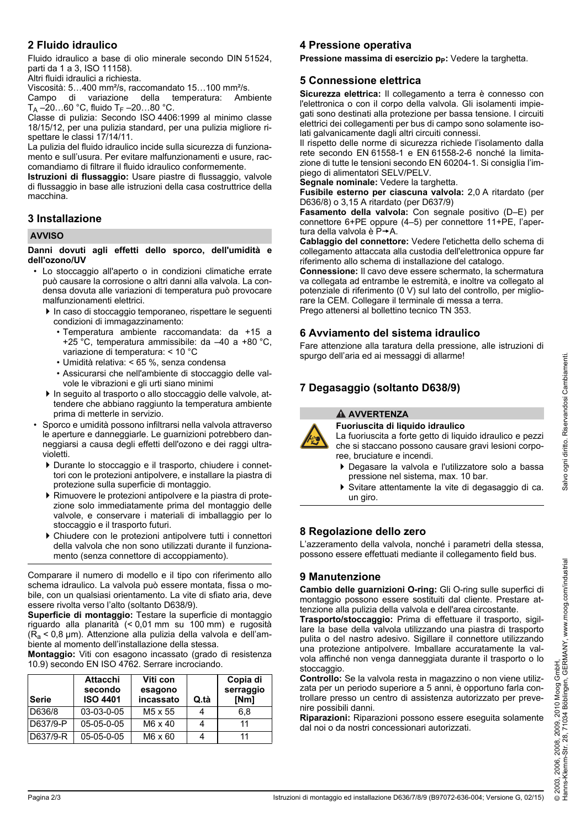# **2 Fluido idraulico**

Fluido idraulico a base di olio minerale secondo DIN 51524, parti da 1 a 3, ISO 11158).

Altri fluidi idraulici a richiesta.

Viscosità: 5…400 mm²/s, raccomandato 15…100 mm²/s.

Campo di variazione della temperatura: Ambiente  $T_A - 20...60$  °C, fluido  $T_F - 20...80$  °C.

Classe di pulizia: Secondo ISO 4406:1999 al minimo classe 18/15/12, per una pulizia standard, per una pulizia migliore rispettare le classi 17/14/11.

La pulizia del fluido idraulico incide sulla sicurezza di funzionamento e sull'usura. Per evitare malfunzionamenti e usure, raccomandiamo di filtrare il fluido idraulico conformemente.

**Istruzioni di flussaggio:** Usare piastre di flussaggio, valvole di flussaggio in base alle istruzioni della casa costruttrice della macchina.

# **3 Installazione**

#### **AVVISO**

**Danni dovuti agli effetti dello sporco, dell'umidità e dell'ozono/UV**

- Lo stoccaggio all'aperto o in condizioni climatiche errate può causare la corrosione o altri danni alla valvola. La condensa dovuta alle variazioni di temperatura può provocare malfunzionamenti elettrici.
	- In caso di stoccaggio temporaneo, rispettare le seguenti condizioni di immagazzinamento:
		- Temperatura ambiente raccomandata: da +15 a +25 $\degree$ C, temperatura ammissibile: da -40 a +80  $\degree$ C, variazione di temperatura: < 10 °C
		- Umidità relativa: < 65 %, senza condensa
		- Assicurarsi che nell'ambiente di stoccaggio delle valvole le vibrazioni e gli urti siano minimi
	- In seguito al trasporto o allo stoccaggio delle valvole, attendere che abbiano raggiunto la temperatura ambiente prima di metterle in servizio.
- Sporco e umidità possono infiltrarsi nella valvola attraverso le aperture e danneggiarle. Le guarnizioni potrebbero danneggiarsi a causa degli effetti dell'ozono e dei raggi ultravioletti.
	- Durante lo stoccaggio e il trasporto, chiudere i connettori con le protezioni antipolvere, e installare la piastra di protezione sulla superficie di montaggio.
	- Rimuovere le protezioni antipolvere e la piastra di protezione solo immediatamente prima del montaggio delle valvole, e conservare i materiali di imballaggio per lo stoccaggio e il trasporto futuri.
	- Chiudere con le protezioni antipolvere tutti i connettori della valvola che non sono utilizzati durante il funzionamento (senza connettore di accoppiamento).

Comparare il numero di modello e il tipo con riferimento allo schema idraulico. La valvola può essere montata, fissa o mobile, con un qualsiasi orientamento. La vite di sfiato aria, deve essere rivolta verso l'alto (soltanto D638/9).

**Superficie di montaggio:** Testare la superficie di montaggio riguardo alla planarità (< 0,01 mm su 100 mm) e rugosità  $(R_a < 0.8 \mu m)$ . Attenzione alla pulizia della valvola e dell'ambiente al momento dell'installazione della stessa.

**Montaggio:** Viti con esagono incassato (grado di resistenza 10.9) secondo EN ISO 4762. Serrare incrociando.

| Serie    | <b>Attacchi</b><br>secondo<br><b>ISO 4401</b> | Viti con<br>esagono<br>incassato | Q.tà | Copia di<br>serraggio<br>[Nm] |
|----------|-----------------------------------------------|----------------------------------|------|-------------------------------|
| D636/8   | 03-03-0-05                                    | M <sub>5</sub> x 55              |      | 6.8                           |
| D637/9-P | $05-05-0-05$                                  | $M6 \times 40$                   |      | 11                            |
| D637/9-R | 05-05-0-05                                    | $M6 \times 60$                   |      | 11                            |

# **4 Pressione operativa**

Pressione massima di esercizio p<sub>p</sub>: Vedere la targhetta.

# **5 Connessione elettrica**

**Sicurezza elettrica:** Il collegamento a terra è connesso con l'elettronica o con il corpo della valvola. Gli isolamenti impiegati sono destinati alla protezione per bassa tensione. I circuiti elettrici dei collegamenti per bus di campo sono solamente isolati galvanicamente dagli altri circuiti connessi.

Il rispetto delle norme di sicurezza richiede l'isolamento dalla rete secondo EN 61558-1 e EN 61558-2-6 nonché la limitazione di tutte le tensioni secondo EN 60204-1. Si consiglia l'impiego di alimentatori SELV/PELV.

**Segnale nominale:** Vedere la targhetta.

**Fusibile esterno per ciascuna valvola:** 2,0 A ritardato (per D636/8) o 3,15 A ritardato (per D637/9)

**Fasamento della valvola:** Con segnale positivo (D–E) per connettore 6+PE oppure (4–5) per connettore 11+PE, l'apertura della valvola è  $P \rightarrow A$ .

**Cablaggio del connettore:** Vedere l'etichetta dello schema di collegamento attaccata alla custodia dell'elettronica oppure far riferimento allo schema di installazione del catalogo.

**Connessione:** Il cavo deve essere schermato, la schermatura va collegata ad entrambe le estremità, e inoltre va collegato al potenziale di riferimento (0 V) sul lato del controllo, per migliorare la CEM. Collegare il terminale di messa a terra. Prego attenersi al bollettino tecnico TN 353.

# **6 Avviamento del sistema idraulico**

Fare attenzione alla taratura della pressione, alle istruzioni di spurgo dell'aria ed ai messaggi di allarme!

# **7 Degasaggio (soltanto D638/9)**



**A** AVVERTENZA

**Fuoriuscita di liquido idraulico** La fuoriuscita a forte getto di liquido idraulico e pezzi che si staccano possono causare gravi lesioni corporee, bruciature e incendi.

- Degasare la valvola e l'utilizzatore solo a bassa pressione nel sistema, max. 10 bar.
- Svitare attentamente la vite di degasaggio di ca. un giro.

# **8 Regolazione dello zero**

L'azzeramento della valvola, nonché i parametri della stessa, possono essere effettuati mediante il collegamento field bus.

# **9 Manutenzione**

**Cambio delle guarnizioni O-ring:** Gli O-ring sulle superfici di montaggio possono essere sostituiti dal cliente. Prestare attenzione alla pulizia della valvola e dell'area circostante.

**Trasporto/stoccaggio:** Prima di effettuare il trasporto, sigillare la base della valvola utilizzando una piastra di trasporto pulita o del nastro adesivo. Sigillare il connettore utilizzando una protezione antipolvere. Imballare accuratamente la valvola affinché non venga danneggiata durante il trasporto o lo stoccaggio.

**Controllo:** Se la valvola resta in magazzino o non viene utilizzata per un periodo superiore a 5 anni, è opportuno farla controllare presso un centro di assistenza autorizzato per prevenire possibili danni.

**Riparazioni:** Riparazioni possono essere eseguita solamente dal noi o da nostri concessionari autorizzati.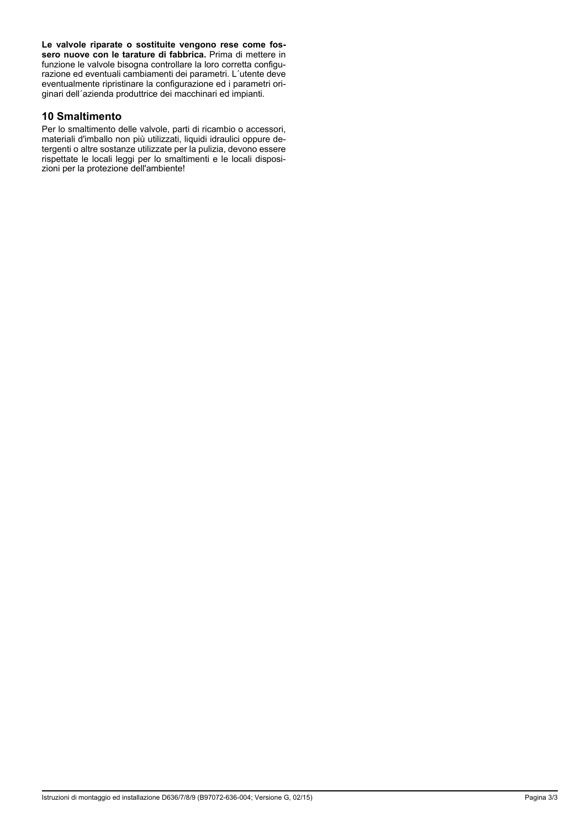**Le valvole riparate o sostituite vengono rese come fossero nuove con le tarature di fabbrica.** Prima di mettere in funzione le valvole bisogna controllare la loro corretta configurazione ed eventuali cambiamenti dei parametri. L´utente deve eventualmente ripristinare la configurazione ed i parametri originari dell´azienda produttrice dei macchinari ed impianti.

#### **10 Smaltimento**

Per lo smaltimento delle valvole, parti di ricambio o accessori, materiali d'imballo non più utilizzati, liquidi idraulici oppure detergenti o altre sostanze utilizzate per la pulizia, devono essere rispettate le locali leggi per lo smaltimenti e le locali disposizioni per la protezione dell'ambiente!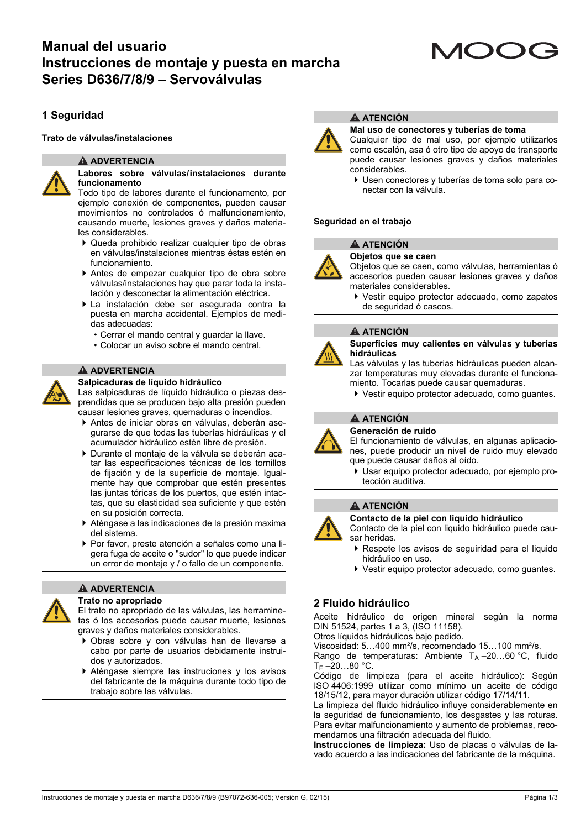# **Manual del usuario Instrucciones de montaje y puesta en marcha Series D636/7/8/9 – Servoválvulas**

# **1 Seguridad**

#### **Trato de válvulas/instalaciones**

#### **ADVERTENCIA**



#### **Labores sobre válvulas/instalaciones durante funcionamento**

Todo tipo de labores durante el funcionamento, por ejemplo conexión de componentes, pueden causar movimientos no controlados ó malfuncionamiento, causando muerte, lesiones graves y daños materiales considerables.

- Queda prohibido realizar cualquier tipo de obras en válvulas/instalaciones mientras éstas estén en funcionamiento.
- Antes de empezar cualquier tipo de obra sobre válvulas/instalaciones hay que parar toda la instalación y desconectar la alimentación eléctrica.
- La instalación debe ser asegurada contra la puesta en marcha accidental. Ejemplos de medidas adecuadas:
	- Cerrar el mando central y guardar la llave.
	- Colocar un aviso sobre el mando central.

#### **ADVERTENCIA**

#### **Salpicaduras de líquido hidráulico**

Las salpicaduras de líquido hidráulico o piezas desprendidas que se producen bajo alta presión pueden causar lesiones graves, quemaduras o incendios.

- Antes de iniciar obras en válvulas, deberán asegurarse de que todas las tuberías hidráulicas y el acumulador hidráulico estén libre de presión.
- Durante el montaje de la válvula se deberán acatar las especificaciones técnicas de los tornillos de fijación y de la superficie de montaje. Igualmente hay que comprobar que estén presentes las juntas tóricas de los puertos, que estén intactas, que su elasticidad sea suficiente y que estén en su posición correcta.
- Aténgase a las indicaciones de la presión maxima del sistema.
- Por favor, preste atención a señales como una ligera fuga de aceite o "sudor" lo que puede indicar un error de montaje y / o fallo de un componente.



#### **ADVERTENCIA Trato no apropriado**

El trato no apropriado de las válvulas, las herraminetas ó los accesorios puede causar muerte, lesiones graves y daños materiales considerables.

- Obras sobre y con válvulas han de llevarse a cabo por parte de usuarios debidamente instruidos y autorizados.
- Aténgase siempre las instruciones y los avisos del fabricante de la máquina durante todo tipo de trabajo sobre las válvulas.



#### **ATENCIÓN**

#### **Mal uso de conectores y tuberías de toma**



Cualquier tipo de mal uso, por ejemplo utilizarlos como escalón, asa ó otro tipo de apoyo de transporte puede causar lesiones graves y daños materiales considerables.

 Usen conectores y tuberías de toma solo para conectar con la válvula.

#### **Seguridad en el trabajo**

# **ATENCIÓN**

**Objetos que se caen**

- Objetos que se caen, como válvulas, herramientas ó accesorios pueden causar lesiones graves y daños materiales considerables.
- Vestir equipo protector adecuado, como zapatos de seguridad ó cascos.

#### **ATENCIÓN**



**Superficies muy calientes en válvulas y tuberías hidráulicas**

Las válvulas y las tuberias hidráulicas pueden alcanzar temperaturas muy elevadas durante el funcionamiento. Tocarlas puede causar quemaduras.

▶ Vestir equipo protector adecuado, como quantes.

# **ATENCIÓN**

**Generación de ruido**

El funcionamiento de válvulas, en algunas aplicaciones, puede producir un nivel de ruido muy elevado que puede causar daños al oído.

 Usar equipo protector adecuado, por ejemplo protección auditiva.

#### **A ATENCIÓN**

**Contacto de la piel con liquido hidráulico**

Contacto de la piel con liquido hidráulico puede causar heridas.

- Respete los avisos de seguiridad para el liquido hidráulico en uso.
- Vestir equipo protector adecuado, como guantes.

# **2 Fluido hidráulico**

Aceite hidráulico de origen mineral según la norma DIN 51524, partes 1 a 3, (ISO 11158).

Otros líquidos hidráulicos bajo pedido.

Viscosidad: 5…400 mm²/s, recomendado 15…100 mm²/s.

Rango de temperaturas: Ambiente  $T_A = 20...60$  °C, fluido T<sub>F</sub> –20…80 °C.

Código de limpieza (para el aceite hidráulico): Según ISO 4406:1999 utilizar como mínimo un aceite de código 18/15/12, para mayor duración utilizar código 17/14/11.

La limpieza del fluido hidráulico influye considerablemente en la seguridad de funcionamiento, los desgastes y las roturas. Para evitar malfuncionamiento y aumento de problemas, recomendamos una filtración adecuada del fluido.

**Instrucciones de limpieza:** Uso de placas o válvulas de lavado acuerdo a las indicaciones del fabricante de la máquina.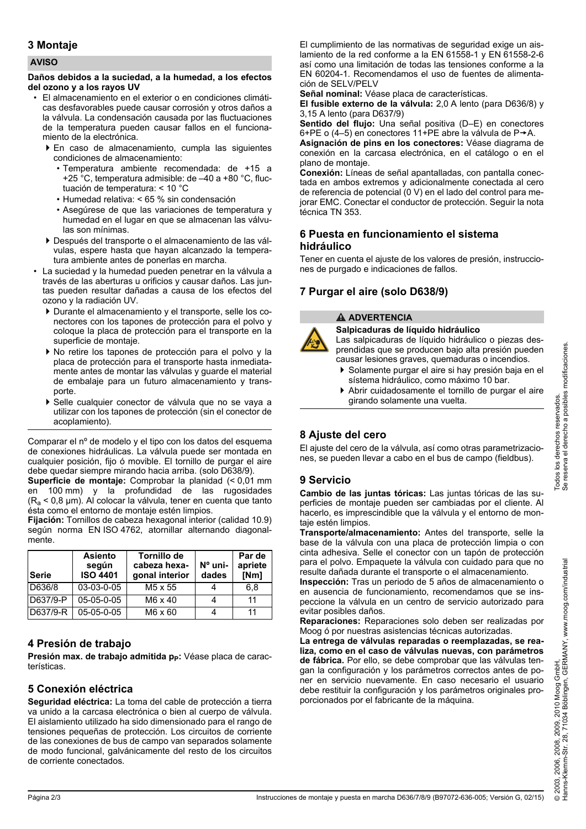# **3 Montaje**

#### **AVISO**

#### **Daños debidos a la suciedad, a la humedad, a los efectos del ozono y a los rayos UV**

- El almacenamiento en el exterior o en condiciones climáticas desfavorables puede causar corrosión y otros daños a la válvula. La condensación causada por las fluctuaciones de la temperatura pueden causar fallos en el funcionamiento de la electrónica.
	- En caso de almacenamiento, cumpla las siguientes condiciones de almacenamiento:
		- Temperatura ambiente recomendada: de +15 a +25 $\degree$ C, temperatura admisible: de  $-40$  a +80  $\degree$ C, fluctuación de temperatura: < 10 °C
		- Humedad relativa: < 65 % sin condensación
		- Asegúrese de que las variaciones de temperatura y humedad en el lugar en que se almacenan las válvulas son mínimas.
	- Después del transporte o el almacenamiento de las válvulas, espere hasta que hayan alcanzado la temperatura ambiente antes de ponerlas en marcha.
- La suciedad y la humedad pueden penetrar en la válvula a través de las aberturas u orificios y causar daños. Las juntas pueden resultar dañadas a causa de los efectos del ozono y la radiación UV.
	- Durante el almacenamiento y el transporte, selle los conectores con los tapones de protección para el polvo y coloque la placa de protección para el transporte en la superficie de montaje.
	- No retire los tapones de protección para el polvo y la placa de protección para el transporte hasta inmediatamente antes de montar las válvulas y guarde el material de embalaje para un futuro almacenamiento y transporte.
	- Selle cualquier conector de válvula que no se vaya a utilizar con los tapones de protección (sin el conector de acoplamiento).

Comparar el nº de modelo y el tipo con los datos del esquema de conexiones hidráulicas. La válvula puede ser montada en cualquier posición, fijo ó movible. El tornillo de purgar el aire debe quedar siempre mirando hacia arriba. (solo D638/9).

**Superficie de montaje:** Comprobar la planidad (< 0,01 mm en 100 mm) y la profundidad de las rugosidades  $(R_a < 0.8 \mu m)$ . Al colocar la válvula, tener en cuenta que tanto ésta como el entorno de montaje estén limpios.

**Fijación:** Tornillos de cabeza hexagonal interior (calidad 10.9) según norma EN ISO 4762, atornillar alternando diagonalmente.

| Serie    | <b>Asiento</b><br>según<br><b>ISO 4401</b> | Tornillo de<br>cabeza hexa-<br>gonal interior | $No$ uni-<br>dades | Par de<br>apriete<br>[Nm] |
|----------|--------------------------------------------|-----------------------------------------------|--------------------|---------------------------|
| D636/8   | 03-03-0-05                                 | M <sub>5</sub> x 55                           |                    | 6.8                       |
| D637/9-P | 05-05-0-05                                 | M6 x 40                                       |                    | 11                        |
| D637/9-R | $05-05-0-05$                               | M6 x 60                                       |                    | 11                        |

# **4 Presión de trabajo**

Presión max. de trabajo admitida p<sub>p</sub>: Véase placa de características.

# **5 Conexión eléctrica**

**Seguridad eléctrica:** La toma del cable de protección a tierra va unido a la carcasa electrónica o bien al cuerpo de válvula. El aislamiento utilizado ha sido dimensionado para el rango de tensiones pequeñas de protección. Los circuitos de corriente de las conexiones de bus de campo van separados solamente de modo funcional, galvánicamente del resto de los circuitos de corriente conectados.

El cumplimiento de las normativas de seguridad exige un aislamiento de la red conforme a la EN 61558-1 y EN 61558-2-6 así como una limitación de todas las tensiones conforme a la EN 60204-1. Recomendamos el uso de fuentes de alimentación de SELV/PELV

**Señal nominal:** Véase placa de características.

**El fusible externo de la válvula:** 2,0 A lento (para D636/8) y 3,15 A lento (para D637/9)

**Sentido del flujo:** Una señal positiva (D–E) en conectores 6+PE o (4–5) en conectores 11+PE abre la válvula de P $\rightarrow$ A.

**Asignación de pins en los conectores:** Véase diagrama de conexión en la carcasa electrónica, en el catálogo o en el plano de montaje.

**Conexión:** Líneas de señal apantalladas, con pantalla conectada en ambos extremos y adicionalmente conectada al cero de referencia de potencial (0 V) en el lado del control para mejorar EMC. Conectar el conductor de protección. Seguir la nota técnica TN 353.

# **6 Puesta en funcionamiento el sistema hidráulico**

Tener en cuenta el ajuste de los valores de presión, instrucciones de purgado e indicaciones de fallos.

# **7 Purgar el aire (solo D638/9)**

### **ADVERTENCIA**



**Salpicaduras de líquido hidráulico** Las salpicaduras de líquido hidráulico o piezas desprendidas que se producen bajo alta presión pueden causar lesiones graves, quemaduras o incendios.

- Solamente purgar el aire si hay presión baja en el sístema hidráulico, como máximo 10 bar.
- Abrir cuidadosamente el tornillo de purgar el aire girando solamente una vuelta.

# **8 Ajuste del cero**

El ajuste del cero de la válvula, así como otras parametrizaciones, se pueden llevar a cabo en el bus de campo (fieldbus).

# **9 Servicio**

**Cambio de las juntas tóricas:** Las juntas tóricas de las superficies de montaje pueden ser cambiadas por el cliente. Al hacerlo, es imprescindible que la válvula y el entorno de montaje estén limpios.

**Transporte/almacenamiento:** Antes del transporte, selle la base de la válvula con una placa de protección limpia o con cinta adhesiva. Selle el conector con un tapón de protección para el polvo. Empaquete la válvula con cuidado para que no resulte dañada durante el transporte o el almacenamiento.

**Inspección:** Tras un periodo de 5 años de almacenamiento o en ausencia de funcionamiento, recomendamos que se inspeccione la válvula en un centro de servicio autorizado para evitar posibles daños.

**Reparaciones:** Reparaciones solo deben ser realizadas por Moog ó por nuestras asistencias técnicas autorizadas.

**La entrega de válvulas reparadas o reemplazadas, se realiza, como en el caso de válvulas nuevas, con parámetros de fábrica.** Por ello, se debe comprobar que las válvulas tengan la configuración y los parámetros correctos antes de poner en servicio nuevamente. En caso necesario el usuario debe restituir la configuración y los parámetros originales proporcionados por el fabricante de la máquina.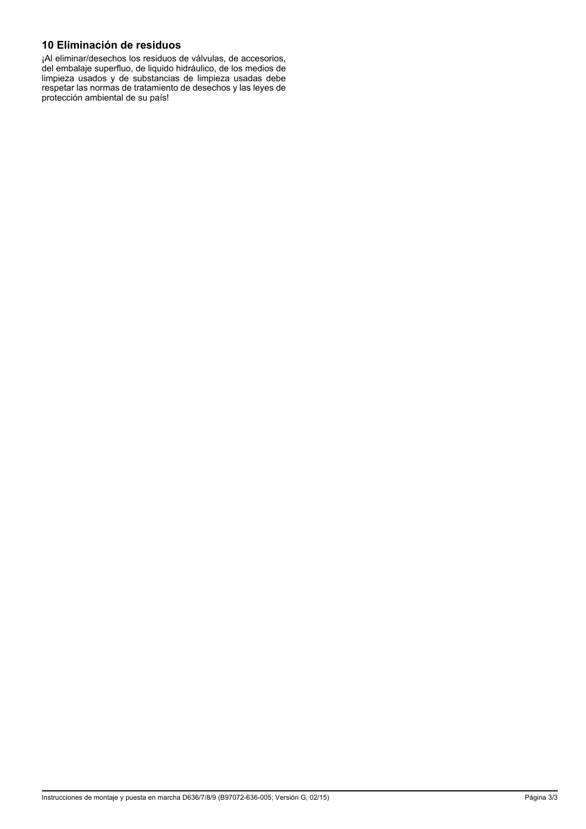# **10 Eliminación de residuos**

¡Al eliminar/desechos los residuos de válvulas, de accesorios, del embalaje superfluo, de liquido hidráulico, de los medios de limpieza usados y de substancias de limpieza usadas debe respetar las normas de tratamiento de desechos y las leyes de protección ambiental de su país!